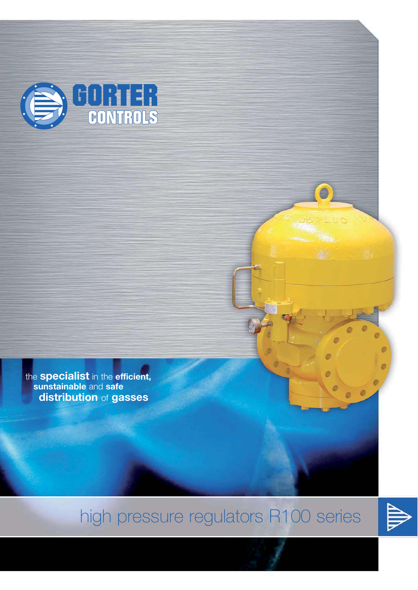

the **specialist** in the **efficient, sunstainable** and **safe distribution** of **gasses**

# high pressure regulators R100 series

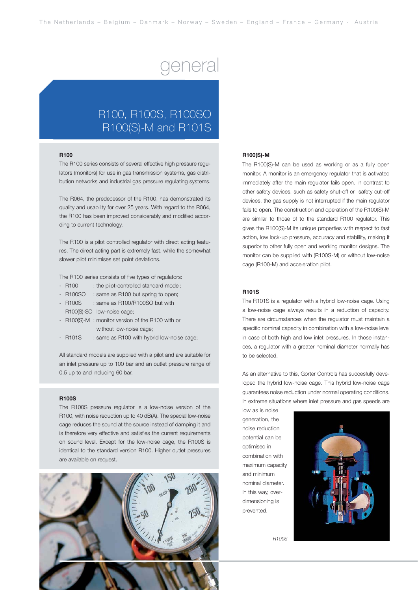### general

### R100, R100S, R100SO R100(S)-M and R101S

#### **R100**

The R100 series consists of several effective high pressure regulators (monitors) for use in gas transmission systems, gas distribution networks and industrial gas pressure regulating systems.

The R064, the predecessor of the R100, has demonstrated its quality and usability for over 25 years. With regard to the R064, the R100 has been improved considerably and modified according to current technology.

The R100 is a pilot controlled regulator with direct acting features. The direct acting part is extremely fast, while the somewhat slower pilot minimises set point deviations.

The R100 series consists of five types of regulators:

- R100 : the pilot-controlled standard model:
- R100SO : same as R100 but spring to open;
- R100S : same as R100/R100SO but with
- R100(S)-SO low-noise cage;
- R100(S)-M : monitor version of the R100 with or without low-noise cage;
- R101S : same as R100 with hybrid low-noise cage;

All standard models are supplied with a pilot and are suitable for an inlet pressure up to 100 bar and an outlet pressure range of 0.5 up to and including 60 bar.

#### **R100S**

The R100S pressure regulator is a low-noise version of the R100, with noise reduction up to 40 dB(A). The special low-noise cage reduces the sound at the source instead of damping it and is therefore very effective and satisfies the current requirements on sound level. Except for the low-noise cage, the R100S is identical to the standard version R100. Higher outlet pressures are available on request.



#### **R100(S)-M**

The R100(S)-M can be used as working or as a fully open monitor. A monitor is an emergency regulator that is activated immediately after the main regulator fails open. In contrast to other safety devices, such as safety shut-off or safety cut-off devices, the gas supply is not interrupted if the main regulator fails to open. The construction and operation of the R100(S)-M are similar to those of to the standard R100 regulator. This gives the R100(S)-M its unique properties with respect to fast action, low lock-up pressure, accuracy and stabillity, making it superior to other fully open and working monitor designs. The monitor can be supplied with (R100S-M) or without low-noise cage (R100-M) and acceleration pilot.

#### **R101S**

The R101S is a regulator with a hybrid low-noise cage. Using a low-noise cage always results in a reduction of capacity. There are circumstances when the regulator must maintain a specific nominal capacity in combination with a low-noise level in case of both high and low inlet pressures. In those instances, a regulator with a greater nominal diameter normally has to be selected.

As an alternative to this, Gorter Controls has succesfully developed the hybrid low-noise cage. This hybrid low-noise cage guarantees noise reduction under normal operating conditions. In extreme situations where inlet pressure and gas speeds are

low as is noise generation, the noise reduction potential can be optimised in combination with maximum capacity and minimum nominal diameter. In this way, overdimensioning is prevented.



*R100S*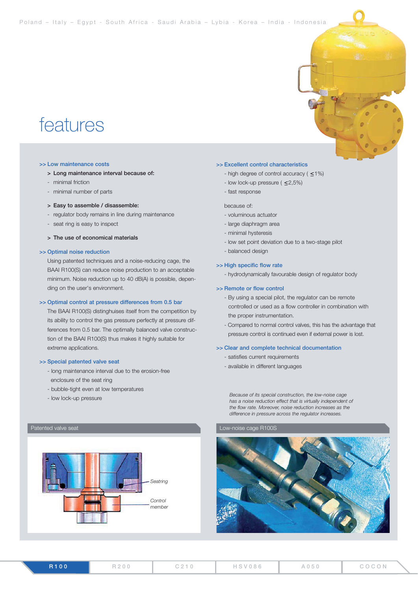## features

#### **>> Low maintenance costs**

- **> Long maintenance interval because of:**
- minimal friction
- minimal number of parts

#### **> Easy to assemble / disassemble:**

- regulator body remains in line during maintenance
- seat ring is easy to inspect

**> The use of economical materials**

#### **>> Optimal noise reduction**

Using patented techniques and a noise-reducing cage, the BAAI R100(S) can reduce noise production to an acceptable minimum. Noise reduction up to 40 dB(A) is possible, depending on the user's environment.

#### **>> Optimal control at pressure differences from 0.5 bar**

The BAAI R100(S) distinghuises itself from the competition by its ability to control the gas pressure perfectly at pressure differences from 0.5 bar. The optimally balanced valve construction of the BAAI R100(S) thus makes it highly suitable for extreme applications.

#### **>> Special patented valve seat**

- long maintenance interval due to the erosion-free enclosure of the seat ring
- bubble-tight even at low temperatures
- low lock-up pressure



#### **>> Excellent control characteristics**

- high degree of control accuracy  $( \leq 1\%)$
- low lock-up pressure  $( \leq 2,5\%)$
- fast response

#### because of:

- voluminous actuator
- large diaphragm area
- minimal hysteresis
- low set point deviation due to a two-stage pilot
- balanced design

#### **>> High specific flow rate**

- hydrodynamically favourable design of regulator body

#### **>> Remote or flow control**

- By using a special pilot, the regulator can be remote controlled or used as a flow controller in combination with the proper instrumentation.
- Compared to normal control valves, this has the advantage that pressure control is continued even if external power is lost.

#### **>> Clear and complete technical documentation**

- satisfies current requirements
- available in different languages

*Because of its special construction, the low-noise cage has a noise reduction effect that is virtually independent of the flow rate. Moreover, noise reduction increases as the difference in pressure across the regulator increases.*

### Patented valve seat **Low-noise cage R100S**

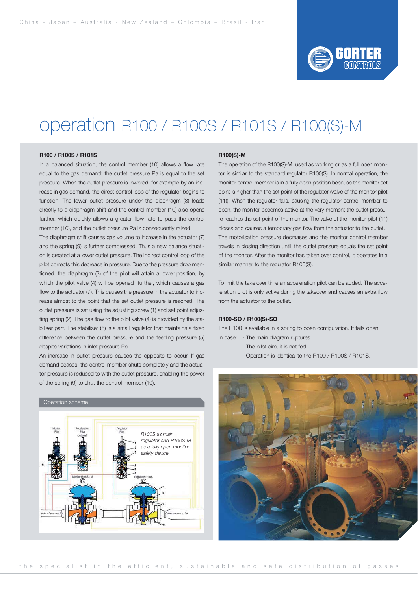

### operation R100 / R100S / R101S / R100(S)-M

#### **R100 / R100S / R101S**

In a balanced situation, the control member (10) allows a flow rate equal to the gas demand; the outlet pressure Pa is equal to the set pressure. When the outlet pressure is lowered, for example by an increase in gas demand, the direct control loop of the regulator begins to function. The lower outlet pressure under the diaphragm (8) leads directly to a diaphragm shift and the control member (10) also opens further, which quickly allows a greater flow rate to pass the control member (10), and the outlet pressure Pa is consequently raised.

The diaphragm shift causes gas volume to increase in the actuator (7) and the spring (9) is further compressed. Thus a new balance situation is created at a lower outlet pressure. The indirect control loop of the pilot corrects this decrease in pressure. Due to the pressure drop mentioned, the diaphragm (3) of the pilot will attain a lower position, by which the pilot valve (4) will be opened further, which causes a gas flow to the actuator (7). This causes the pressure in the actuator to increase almost to the point that the set outlet pressure is reached. The outlet pressure is set using the adjusting screw (1) and set point adjusting spring (2). The gas flow to the pilot valve (4) is provided by the stabiliser part. The stabiliser (6) is a small regulator that maintains a fixed difference between the outlet pressure and the feeding pressure (5) despite variations in inlet pressure Pe.

An increase in outlet pressure causes the opposite to occur. If gas demand ceases, the control member shuts completely and the actuator pressure is reduced to with the outlet pressure, enabling the power of the spring (9) to shut the control member (10).



#### **R100(S)-M**

The operation of the R100(S)-M, used as working or as a full open monitor is similar to the standard regulator R100(S). In normal operation, the monitor control member is in a fully open position because the monitor set point is higher than the set point of the regulator (valve of the monitor pilot (11)). When the regulator fails, causing the regulator control member to open, the monitor becomes active at the very moment the outlet pressure reaches the set point of the monitor. The valve of the monitor pilot (11) closes and causes a temporary gas flow from the actuator to the outlet. The motorisation pressure decreases and the monitor control member travels in closing direction untill the outlet pressure equals the set point of the monitor. After the monitor has taken over control, it operates in a similar manner to the regulator R100(S).

To limit the take over time an acceleration pilot can be added. The acceleration pilot is only active during the takeover and causes an extra flow from the actuator to the outlet.

#### **R100-SO / R100(S)-SO**

The R100 is available in a spring to open configuration. It fails open. In case: - The main diagram ruptures.

- The pilot circuit is not fed.
- Operation is identical to the R100 / R100S / R101S.

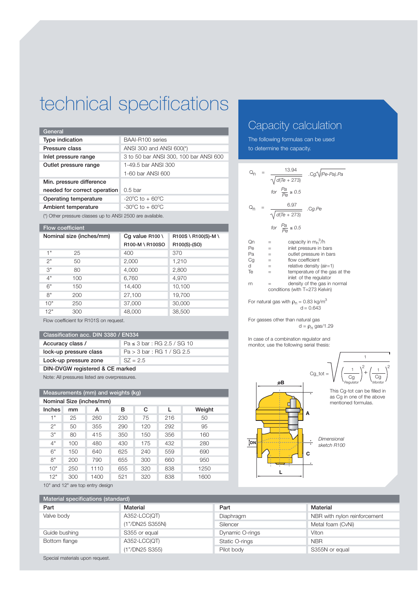# technical specifications

| General                      |                                        |
|------------------------------|----------------------------------------|
| Type indication              | BAAI-R100 series                       |
| Pressure class               | ANSI 300 and ANSI 600(*)               |
| Inlet pressure range         | 3 to 50 bar ANSI 300, 100 bar ANSI 600 |
| Outlet pressure range        | 1-49.5 bar ANSI 300                    |
|                              | 1-60 bar ANSI 600                      |
| Min. pressure difference     |                                        |
| needed for correct operation | $0.5$ bar                              |
| Operating temperature        | $-20^{\circ}$ C to $+60^{\circ}$ C     |
| Ambient temperature          | $-30^{\circ}$ C to $+60^{\circ}$ C     |

(\*) Other pressure classes up to ANSI 2500 are available.

| <b>Flow coefficient</b>  |     |                           |                     |  |
|--------------------------|-----|---------------------------|---------------------|--|
| Nominal size (inches/mm) |     | Cq value $R100 \setminus$ | R100S \ R100(S)-M \ |  |
|                          |     | R100-M \ R100SO           | R100(S)-(SO)        |  |
| 4 <sup>11</sup>          | 25  | 400                       | 370                 |  |
| 2"                       | 50  | 2,000                     | 1,210               |  |
| 3"                       | 80  | 4,000                     | 2,800               |  |
| 4"                       | 100 | 6,760                     | 4.970               |  |
| 6"                       | 150 | 14,400                    | 10,100              |  |
| 8"                       | 200 | 27,100                    | 19,700              |  |
| 10"                      | 250 | 37,000                    | 30,000              |  |
| 12"                      | 300 | 48,000                    | 38,500              |  |
|                          |     |                           |                     |  |

Flow coefficient for R101S on request.

#### **Classification acc. DIN 3380 / EN334**

| Accuracy class /                | $Pa \le 3 bar : RG 2.5 / SG 10$ |  |  |  |
|---------------------------------|---------------------------------|--|--|--|
| lock-up pressure class          | Pa > 3 bar : RG 1 / SG 2.5      |  |  |  |
| Lock-up pressure zone           | $SZ = 2.5$                      |  |  |  |
| DIN-DVGW registered & CE marked |                                 |  |  |  |

Note: All pressures listed are overpressures.

| Measurements (mm) and weights (kg) |     |      |     |     |     |        |
|------------------------------------|-----|------|-----|-----|-----|--------|
| Nominal Size (inches/mm)           |     |      |     |     |     |        |
| Inches                             | mm  | А    | в   | C   | L   | Weight |
| 1"                                 | 25  | 260  | 230 | 75  | 216 | 50     |
| 2"                                 | 50  | 355  | 290 | 120 | 292 | 95     |
| 3"                                 | 80  | 415  | 350 | 150 | 356 | 160    |
| 4"                                 | 100 | 480  | 430 | 175 | 432 | 280    |
| 6"                                 | 150 | 640  | 625 | 240 | 559 | 690    |
| 8"                                 | 200 | 790  | 655 | 300 | 660 | 950    |
| 10"                                | 250 | 1110 | 655 | 320 | 838 | 1250   |
| 12"                                | 300 | 1400 | 521 | 320 | 838 | 1600   |

### Capacity calculation

The following formulas can be used to determine the capacity.

|                                |  | $\frac{13.94}{\sqrt{d(Te+273)}}$ . Cg: $\sqrt{(Pe-Pa).Pa}$            |  |  |
|--------------------------------|--|-----------------------------------------------------------------------|--|--|
|                                |  | for $\frac{Pa}{P\theta} \ge 0.5$                                      |  |  |
|                                |  | $\frac{6.97}{\sqrt{d(Te+273)}}$ . Cg.Pe                               |  |  |
|                                |  | for $\frac{Pa}{Pe} \le 0.5$                                           |  |  |
| Qn                             |  | capacity in $m_n^3/h$<br>=                                            |  |  |
| Pe                             |  | inlet pressure in bars<br>$=$                                         |  |  |
| Pa                             |  | $=$ 100 $\pm$<br>outlet pressure in bars                              |  |  |
| Cg                             |  | flow coefficient<br>and the state                                     |  |  |
| d                              |  | relative density (air=1)<br>$\equiv 1.0000$                           |  |  |
| Te                             |  | temperature of the gas at the<br>$=$<br>inlet of the regulator        |  |  |
| rn                             |  | density of the gas in normal<br>$=$                                   |  |  |
| conditions (with T=273 Kelvin) |  |                                                                       |  |  |
|                                |  | For natural gas with $\rho_n = 0.83$ kg/m <sup>3</sup><br>$d = 0.643$ |  |  |

For gasses other than natural gas d =  $\rho_n$  gas/1.29

In case of a combination regulator and monitor, use the following serial thesis:



10" and 12" are top entry design

| Material specifications (standard) |                 |                 |                              |  |
|------------------------------------|-----------------|-----------------|------------------------------|--|
| Part                               | Material        | Part            | Material                     |  |
| Valve body                         | A352-LCC(QT)    | Diaphragm       | NBR with nylon reinforcement |  |
|                                    | (1"/DN25 S355N) | Silencer        | Metal foam (CvNi)            |  |
| Guide bushing                      | S355 or equal   | Dynamic O-rings | Viton                        |  |
| Bottom flange                      | A352-LCC(QT)    | Static O-rings  | <b>NBR</b>                   |  |
|                                    | (1"/DN25 S355)  | Pilot body      | S355N or equal               |  |

Special materials upon request.